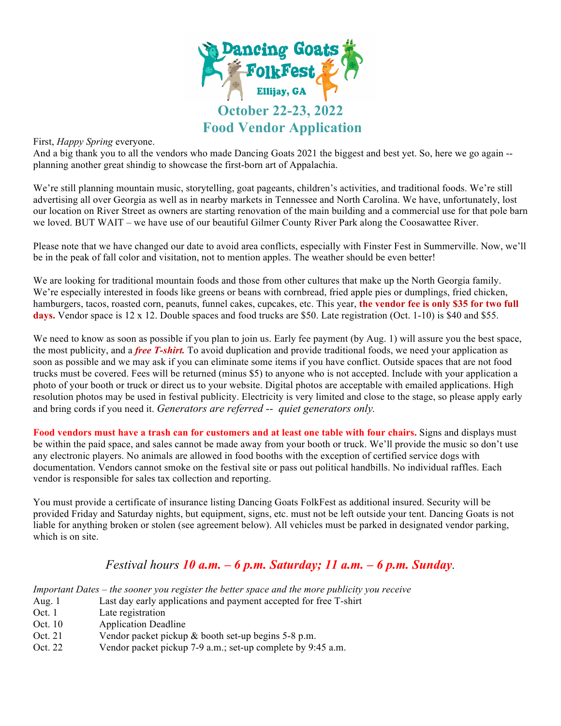

## First, *Happy Spring* everyone.

And a big thank you to all the vendors who made Dancing Goats 2021 the biggest and best yet. So, here we go again - planning another great shindig to showcase the first-born art of Appalachia.

We're still planning mountain music, storytelling, goat pageants, children's activities, and traditional foods. We're still advertising all over Georgia as well as in nearby markets in Tennessee and North Carolina. We have, unfortunately, lost our location on River Street as owners are starting renovation of the main building and a commercial use for that pole barn we loved. BUT WAIT – we have use of our beautiful Gilmer County River Park along the Coosawattee River.

Please note that we have changed our date to avoid area conflicts, especially with Finster Fest in Summerville. Now, we'll be in the peak of fall color and visitation, not to mention apples. The weather should be even better!

We are looking for traditional mountain foods and those from other cultures that make up the North Georgia family. We're especially interested in foods like greens or beans with cornbread, fried apple pies or dumplings, fried chicken, hamburgers, tacos, roasted corn, peanuts, funnel cakes, cupcakes, etc. This year, **the vendor fee is only \$35 for two full days.** Vendor space is 12 x 12. Double spaces and food trucks are \$50. Late registration (Oct. 1-10) is \$40 and \$55.

We need to know as soon as possible if you plan to join us. Early fee payment (by Aug. 1) will assure you the best space, the most publicity, and a *free T-shirt.* To avoid duplication and provide traditional foods, we need your application as soon as possible and we may ask if you can eliminate some items if you have conflict. Outside spaces that are not food trucks must be covered. Fees will be returned (minus \$5) to anyone who is not accepted. Include with your application a photo of your booth or truck or direct us to your website. Digital photos are acceptable with emailed applications. High resolution photos may be used in festival publicity. Electricity is very limited and close to the stage, so please apply early and bring cords if you need it. *Generators are referred -- quiet generators only.*

**Food vendors must have a trash can for customers and at least one table with four chairs.** Signs and displays must be within the paid space, and sales cannot be made away from your booth or truck. We'll provide the music so don't use any electronic players. No animals are allowed in food booths with the exception of certified service dogs with documentation. Vendors cannot smoke on the festival site or pass out political handbills. No individual raffles. Each vendor is responsible for sales tax collection and reporting.

You must provide a certificate of insurance listing Dancing Goats FolkFest as additional insured. Security will be provided Friday and Saturday nights, but equipment, signs, etc. must not be left outside your tent. Dancing Goats is not liable for anything broken or stolen (see agreement below). All vehicles must be parked in designated vendor parking, which is on site.

## *Festival hours 10 a.m. – 6 p.m. Saturday; 11 a.m. – 6 p.m. Sunday.*

*Important Dates – the sooner you register the better space and the more publicity you receive*

- Aug. 1 Last day early applications and payment accepted for free T-shirt
- Oct. 1 Late registration
- Oct. 10 Application Deadline
- Oct. 21 Vendor packet pickup & booth set-up begins 5-8 p.m.
- Oct. 22 Vendor packet pickup 7-9 a.m.; set-up complete by 9:45 a.m.